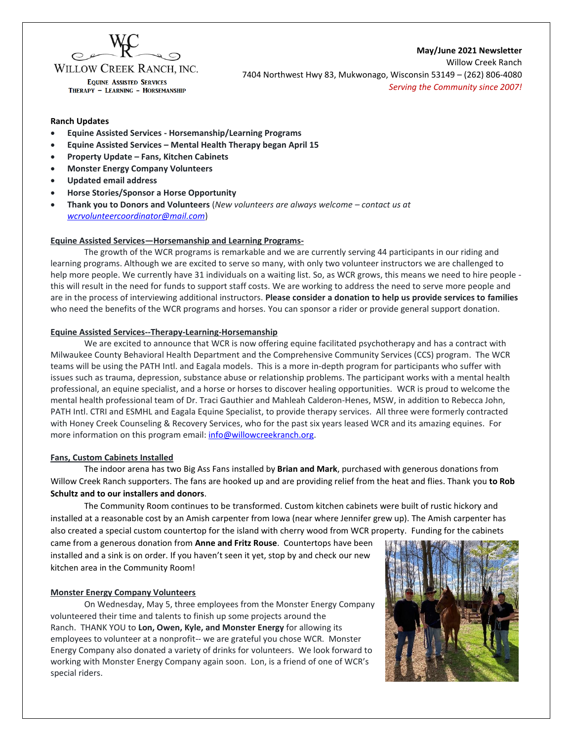

WILLOW CREEK RANCH. INC. **EQUINE ASSISTED SERVICES** THERAPY - LEARNING - HORSEMANSHIP

**May/June 2021 Newsletter** Willow Creek Ranch 7404 Northwest Hwy 83, Mukwonago, Wisconsin 53149 – (262) 806-4080 *Serving the Community since 2007!*

#### **Ranch Updates**

- **Equine Assisted Services - Horsemanship/Learning Programs**
- **Equine Assisted Services – Mental Health Therapy began April 15**
- **Property Update – Fans, Kitchen Cabinets**
- **Monster Energy Company Volunteers**
- **Updated email address**
- **Horse Stories/Sponsor a Horse Opportunity**
- **Thank you to Donors and Volunteers** (*New volunteers are always welcome – contact us at [wcrvolunteercoordinator@mail.com](mailto:wcrvolunteercoordinator@mail.com)*)

#### **Equine Assisted Services—Horsemanship and Learning Programs-**

The growth of the WCR programs is remarkable and we are currently serving 44 participants in our riding and learning programs. Although we are excited to serve so many, with only two volunteer instructors we are challenged to help more people. We currently have 31 individuals on a waiting list. So, as WCR grows, this means we need to hire people this will result in the need for funds to support staff costs. We are working to address the need to serve more people and are in the process of interviewing additional instructors. **Please consider a donation to help us provide services to families** who need the benefits of the WCR programs and horses. You can sponsor a rider or provide general support donation.

#### **Equine Assisted Services--Therapy-Learning-Horsemanship**

We are excited to announce that WCR is now offering equine facilitated psychotherapy and has a contract with Milwaukee County Behavioral Health Department and the Comprehensive Community Services (CCS) program. The WCR teams will be using the PATH Intl. and Eagala models. This is a more in-depth program for participants who suffer with issues such as trauma, depression, substance abuse or relationship problems. The participant works with a mental health professional, an equine specialist, and a horse or horses to discover healing opportunities. WCR is proud to welcome the mental health professional team of Dr. Traci Gauthier and Mahleah Calderon-Henes, MSW, in addition to Rebecca John, PATH Intl. CTRI and ESMHL and Eagala Equine Specialist, to provide therapy services. All three were formerly contracted with Honey Creek Counseling & Recovery Services, who for the past six years leased WCR and its amazing equines. For more information on this program email: info@willowcreekranch.org.

#### **Fans, Custom Cabinets Installed**

The indoor arena has two Big Ass Fans installed by **Brian and Mark**, purchased with generous donations from Willow Creek Ranch supporters. The fans are hooked up and are providing relief from the heat and flies. Thank you **to Rob Schultz and to our installers and donors**.

The Community Room continues to be transformed. Custom kitchen cabinets were built of rustic hickory and installed at a reasonable cost by an Amish carpenter from Iowa (near where Jennifer grew up). The Amish carpenter has also created a special custom countertop for the island with cherry wood from WCR property. Funding for the cabinets came from a generous donation from **Anne and Fritz Rouse**. Countertops have been

installed and a sink is on order. If you haven't seen it yet, stop by and check our new kitchen area in the Community Room!

#### **Monster Energy Company Volunteers**

On Wednesday, May 5, three employees from the Monster Energy Company volunteered their time and talents to finish up some projects around the Ranch. THANK YOU to **Lon, Owen, Kyle, and Monster Energy** for allowing its employees to volunteer at a nonprofit-- we are grateful you chose WCR. Monster Energy Company also donated a variety of drinks for volunteers. We look forward to working with Monster Energy Company again soon. Lon, is a friend of one of WCR's special riders.